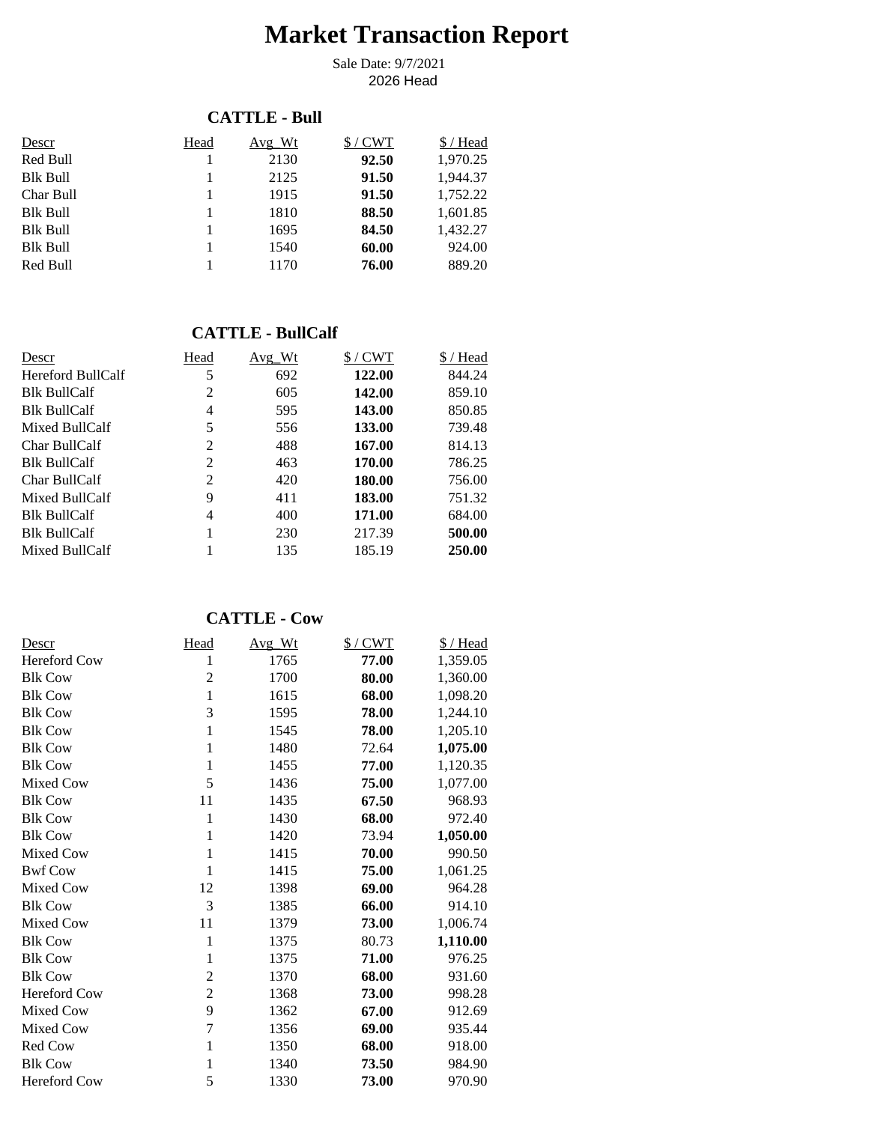# **Market Transaction Report**

2026 Head Sale Date: 9/7/2021

#### **CATTLE - Bull**

| Descr           | Head | Avg Wt | $$/$ CWT | \$/Head  |
|-----------------|------|--------|----------|----------|
| Red Bull        |      | 2130   | 92.50    | 1,970.25 |
| <b>Blk Bull</b> |      | 2125   | 91.50    | 1,944.37 |
| Char Bull       |      | 1915   | 91.50    | 1,752.22 |
| <b>Blk Bull</b> |      | 1810   | 88.50    | 1,601.85 |
| <b>Blk Bull</b> |      | 1695   | 84.50    | 1,432.27 |
| <b>Blk Bull</b> |      | 1540   | 60.00    | 924.00   |
| Red Bull        |      | 1170   | 76.00    | 889.20   |

### **CATTLE - BullCalf**

| Descr               | Head | Avg Wt | $$/$ CWT | \$/Head |
|---------------------|------|--------|----------|---------|
| Hereford BullCalf   | 5    | 692    | 122.00   | 844.24  |
| <b>Blk BullCalf</b> | 2    | 605    | 142.00   | 859.10  |
| <b>Blk BullCalf</b> | 4    | 595    | 143.00   | 850.85  |
| Mixed BullCalf      | 5    | 556    | 133.00   | 739.48  |
| Char BullCalf       | 2    | 488    | 167.00   | 814.13  |
| <b>Blk BullCalf</b> | 2    | 463    | 170.00   | 786.25  |
| Char BullCalf       | 2    | 420    | 180.00   | 756.00  |
| Mixed BullCalf      | 9    | 411    | 183.00   | 751.32  |
| <b>Blk BullCalf</b> | 4    | 400    | 171.00   | 684.00  |
| <b>Blk BullCalf</b> |      | 230    | 217.39   | 500.00  |
| Mixed BullCalf      |      | 135    | 185.19   | 250.00  |

## **CATTLE - Cow**

| Descr               | <b>Head</b>    | Avg_Wt | $$/$ CWT | \$/Head  |
|---------------------|----------------|--------|----------|----------|
| <b>Hereford Cow</b> | 1              | 1765   | 77.00    | 1,359.05 |
| <b>Blk Cow</b>      | 2              | 1700   | 80.00    | 1,360.00 |
| <b>Blk Cow</b>      | 1              | 1615   | 68.00    | 1,098.20 |
| <b>Blk Cow</b>      | 3              | 1595   | 78.00    | 1,244.10 |
| <b>Blk Cow</b>      | $\mathbf{1}$   | 1545   | 78.00    | 1,205.10 |
| <b>Blk Cow</b>      | 1              | 1480   | 72.64    | 1,075.00 |
| <b>Blk Cow</b>      | $\mathbf{1}$   | 1455   | 77.00    | 1,120.35 |
| Mixed Cow           | 5              | 1436   | 75.00    | 1,077.00 |
| <b>Blk Cow</b>      | 11             | 1435   | 67.50    | 968.93   |
| <b>Blk Cow</b>      | 1              | 1430   | 68.00    | 972.40   |
| <b>Blk Cow</b>      | 1              | 1420   | 73.94    | 1,050.00 |
| Mixed Cow           | 1              | 1415   | 70.00    | 990.50   |
| <b>Bwf Cow</b>      | 1              | 1415   | 75.00    | 1,061.25 |
| Mixed Cow           | 12             | 1398   | 69.00    | 964.28   |
| <b>Blk Cow</b>      | 3              | 1385   | 66.00    | 914.10   |
| Mixed Cow           | 11             | 1379   | 73.00    | 1,006.74 |
| <b>Blk Cow</b>      | 1              | 1375   | 80.73    | 1,110.00 |
| <b>Blk Cow</b>      | 1              | 1375   | 71.00    | 976.25   |
| <b>Blk Cow</b>      | $\overline{2}$ | 1370   | 68.00    | 931.60   |
| <b>Hereford Cow</b> | $\overline{2}$ | 1368   | 73.00    | 998.28   |
| Mixed Cow           | 9              | 1362   | 67.00    | 912.69   |
| Mixed Cow           | $\overline{7}$ | 1356   | 69.00    | 935.44   |
| Red Cow             | $\mathbf{1}$   | 1350   | 68.00    | 918.00   |
| <b>Blk Cow</b>      | 1              | 1340   | 73.50    | 984.90   |
| <b>Hereford Cow</b> | 5              | 1330   | 73.00    | 970.90   |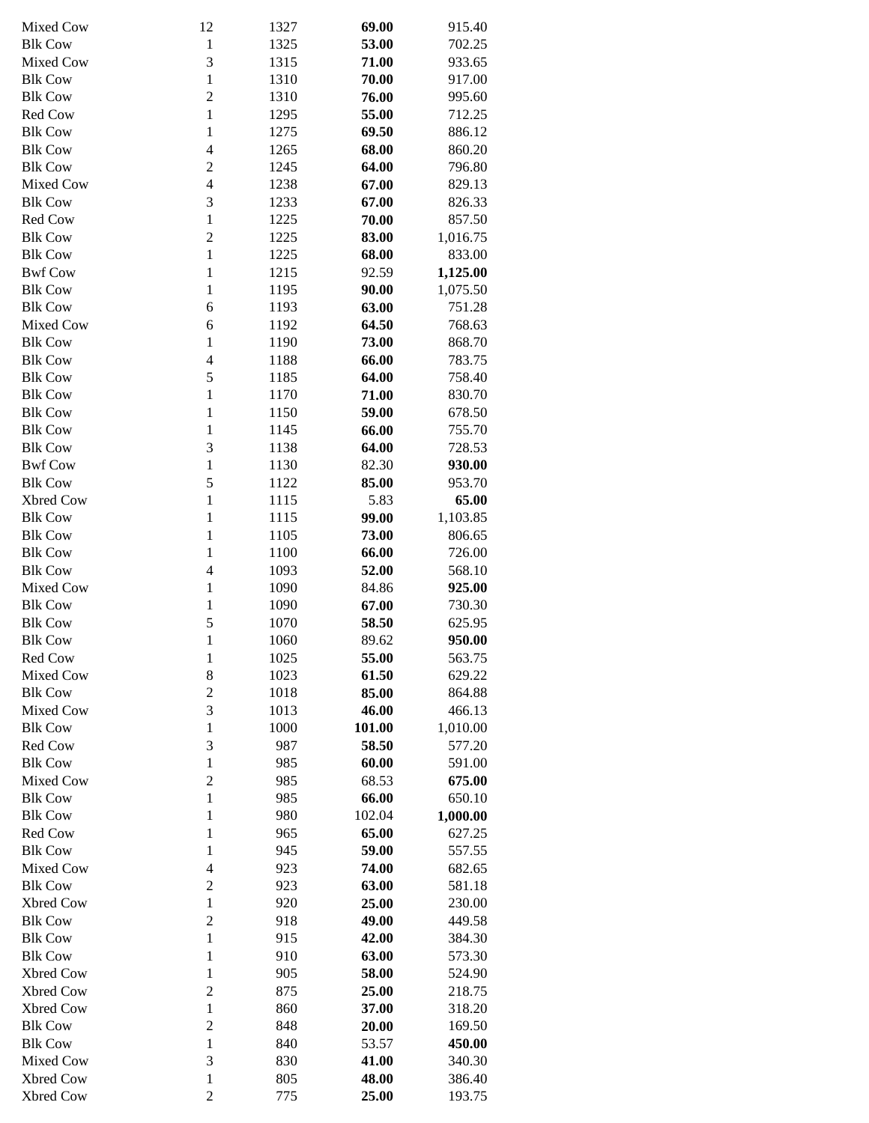| Mixed Cow      | 12                      | 1327 | 69.00  | 915.40   |
|----------------|-------------------------|------|--------|----------|
| <b>Blk Cow</b> | $\mathbf{1}$            | 1325 | 53.00  | 702.25   |
| Mixed Cow      | 3                       | 1315 | 71.00  | 933.65   |
|                |                         |      |        |          |
| <b>Blk Cow</b> | $\mathbf{1}$            | 1310 | 70.00  | 917.00   |
| <b>Blk Cow</b> | $\overline{2}$          | 1310 | 76.00  | 995.60   |
| Red Cow        | $\mathbf{1}$            | 1295 | 55.00  | 712.25   |
| <b>Blk Cow</b> | $\mathbf{1}$            | 1275 | 69.50  | 886.12   |
|                |                         |      |        |          |
| <b>Blk Cow</b> | $\overline{4}$          | 1265 | 68.00  | 860.20   |
| <b>Blk Cow</b> | $\overline{2}$          | 1245 | 64.00  | 796.80   |
| Mixed Cow      | $\overline{\mathbf{4}}$ | 1238 | 67.00  | 829.13   |
| <b>Blk Cow</b> | 3                       | 1233 | 67.00  | 826.33   |
|                |                         |      |        |          |
| Red Cow        | $\mathbf{1}$            | 1225 | 70.00  | 857.50   |
| <b>Blk Cow</b> | $\overline{2}$          | 1225 | 83.00  | 1,016.75 |
| <b>Blk Cow</b> | $\mathbf{1}$            | 1225 | 68.00  | 833.00   |
| <b>Bwf Cow</b> | $\mathbf{1}$            | 1215 | 92.59  | 1,125.00 |
|                |                         |      |        |          |
| <b>Blk Cow</b> | $\mathbf{1}$            | 1195 | 90.00  | 1,075.50 |
| <b>Blk Cow</b> | 6                       | 1193 | 63.00  | 751.28   |
| Mixed Cow      | 6                       | 1192 | 64.50  | 768.63   |
|                |                         |      |        |          |
| <b>Blk Cow</b> | $\mathbf{1}$            | 1190 | 73.00  | 868.70   |
| <b>Blk Cow</b> | $\overline{4}$          | 1188 | 66.00  | 783.75   |
| <b>Blk Cow</b> | 5                       | 1185 | 64.00  | 758.40   |
| <b>Blk Cow</b> | $\mathbf{1}$            | 1170 | 71.00  | 830.70   |
|                |                         |      |        |          |
| <b>Blk Cow</b> | $\mathbf{1}$            | 1150 | 59.00  | 678.50   |
| <b>Blk Cow</b> | $\mathbf{1}$            | 1145 | 66.00  | 755.70   |
| <b>Blk Cow</b> | 3                       | 1138 | 64.00  | 728.53   |
| <b>Bwf Cow</b> | $\mathbf{1}$            | 1130 | 82.30  | 930.00   |
| <b>Blk Cow</b> | 5                       | 1122 | 85.00  | 953.70   |
|                |                         |      |        |          |
| Xbred Cow      | $\mathbf{1}$            | 1115 | 5.83   | 65.00    |
| <b>Blk Cow</b> | $\mathbf{1}$            | 1115 | 99.00  | 1,103.85 |
| <b>Blk Cow</b> | $\mathbf{1}$            | 1105 | 73.00  | 806.65   |
| <b>Blk Cow</b> | $\mathbf{1}$            | 1100 | 66.00  | 726.00   |
|                |                         |      |        |          |
| <b>Blk Cow</b> | $\overline{\mathbf{4}}$ | 1093 | 52.00  | 568.10   |
| Mixed Cow      | $\mathbf{1}$            | 1090 | 84.86  | 925.00   |
| <b>Blk Cow</b> | 1                       | 1090 | 67.00  | 730.30   |
| <b>Blk Cow</b> | 5                       | 1070 | 58.50  | 625.95   |
|                |                         |      |        |          |
| <b>Blk Cow</b> | 1                       | 1060 | 89.62  | 950.00   |
| Red Cow        | 1                       | 1025 | 55.00  | 563.75   |
| Mixed Cow      | 8                       | 1023 | 61.50  | 629.22   |
| <b>Blk Cow</b> | $\sqrt{2}$              | 1018 | 85.00  | 864.88   |
| Mixed Cow      | 3                       |      |        |          |
|                |                         | 1013 | 46.00  | 466.13   |
| <b>Blk Cow</b> | $\mathbf{1}$            | 1000 | 101.00 | 1,010.00 |
| Red Cow        | 3                       | 987  | 58.50  | 577.20   |
| <b>Blk Cow</b> | $\mathbf{1}$            | 985  | 60.00  | 591.00   |
| Mixed Cow      | $\overline{2}$          | 985  | 68.53  | 675.00   |
|                |                         |      |        |          |
| <b>Blk Cow</b> | $\mathbf{1}$            | 985  | 66.00  | 650.10   |
| <b>Blk Cow</b> | $\mathbf{1}$            | 980  | 102.04 | 1,000.00 |
| Red Cow        | $\mathbf{1}$            | 965  | 65.00  | 627.25   |
| <b>Blk Cow</b> | $\mathbf{1}$            | 945  | 59.00  | 557.55   |
|                |                         |      |        |          |
| Mixed Cow      | $\overline{4}$          | 923  | 74.00  | 682.65   |
| <b>Blk Cow</b> | $\mathfrak{2}$          | 923  | 63.00  | 581.18   |
| Xbred Cow      | $\mathbf{1}$            | 920  | 25.00  | 230.00   |
| <b>Blk Cow</b> | $\overline{2}$          | 918  | 49.00  | 449.58   |
| <b>Blk Cow</b> | $\mathbf{1}$            | 915  | 42.00  | 384.30   |
|                |                         |      |        |          |
| <b>Blk Cow</b> | $\mathbf{1}$            | 910  | 63.00  | 573.30   |
| Xbred Cow      | $\mathbf{1}$            | 905  | 58.00  | 524.90   |
| Xbred Cow      | $\mathfrak{2}$          | 875  | 25.00  | 218.75   |
| Xbred Cow      | $\mathbf{1}$            | 860  | 37.00  | 318.20   |
|                |                         |      |        |          |
| <b>Blk Cow</b> | $\mathfrak{2}$          | 848  | 20.00  | 169.50   |
| <b>Blk Cow</b> | $\mathbf{1}$            | 840  | 53.57  | 450.00   |
| Mixed Cow      | 3                       | 830  | 41.00  | 340.30   |
| Xbred Cow      | $\mathbf{1}$            | 805  | 48.00  | 386.40   |
| Xbred Cow      | $\overline{c}$          | 775  | 25.00  | 193.75   |
|                |                         |      |        |          |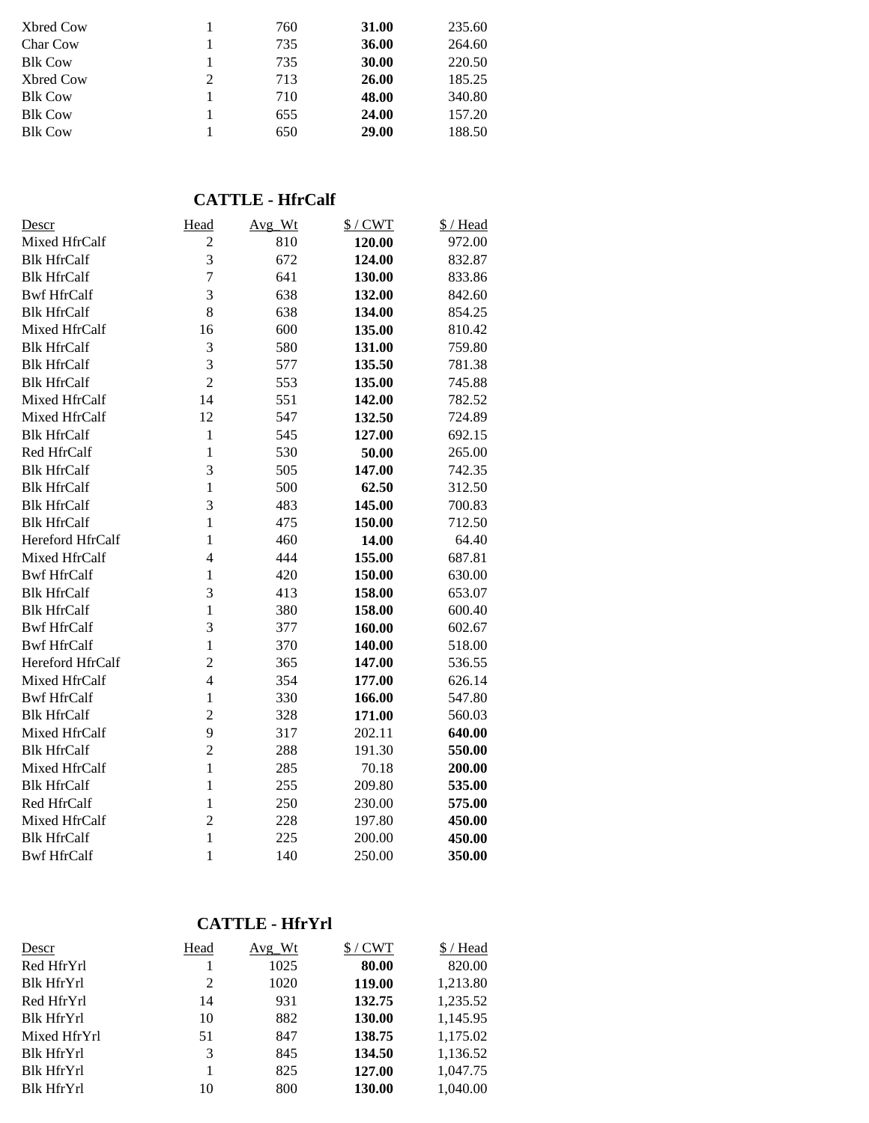|   | 760 | 31.00 | 235.60 |
|---|-----|-------|--------|
|   | 735 | 36.00 | 264.60 |
|   | 735 | 30.00 | 220.50 |
| 2 | 713 | 26.00 | 185.25 |
|   | 710 | 48.00 | 340.80 |
|   | 655 | 24.00 | 157.20 |
|   | 650 | 29.00 | 188.50 |
|   |     |       |        |

## **CATTLE - HfrCalf**

| <u>Descr</u>       | Head                    | Avg_Wt | $$/$ CWT | \$/Head |
|--------------------|-------------------------|--------|----------|---------|
| Mixed HfrCalf      | $\overline{2}$          | 810    | 120.00   | 972.00  |
| <b>Blk HfrCalf</b> | $\overline{3}$          | 672    | 124.00   | 832.87  |
| <b>Blk HfrCalf</b> | $\overline{7}$          | 641    | 130.00   | 833.86  |
| <b>Bwf HfrCalf</b> | $\overline{\mathbf{3}}$ | 638    | 132.00   | 842.60  |
| <b>Blk HfrCalf</b> | 8                       | 638    | 134.00   | 854.25  |
| Mixed HfrCalf      | 16                      | 600    | 135.00   | 810.42  |
| <b>Blk HfrCalf</b> | 3                       | 580    | 131.00   | 759.80  |
| <b>Blk HfrCalf</b> | $\overline{3}$          | 577    | 135.50   | 781.38  |
| <b>Blk HfrCalf</b> | $\overline{2}$          | 553    | 135.00   | 745.88  |
| Mixed HfrCalf      | 14                      | 551    | 142.00   | 782.52  |
| Mixed HfrCalf      | 12                      | 547    | 132.50   | 724.89  |
| <b>Blk HfrCalf</b> | $\mathbf{1}$            | 545    | 127.00   | 692.15  |
| Red HfrCalf        | $\mathbf{1}$            | 530    | 50.00    | 265.00  |
| <b>Blk HfrCalf</b> | 3                       | 505    | 147.00   | 742.35  |
| <b>Blk HfrCalf</b> | $\mathbf{1}$            | 500    | 62.50    | 312.50  |
| <b>Blk HfrCalf</b> | 3                       | 483    | 145.00   | 700.83  |
| <b>Blk HfrCalf</b> | $\mathbf{1}$            | 475    | 150.00   | 712.50  |
| Hereford HfrCalf   | $\mathbf{1}$            | 460    | 14.00    | 64.40   |
| Mixed HfrCalf      | $\overline{4}$          | 444    | 155.00   | 687.81  |
| <b>Bwf HfrCalf</b> | $\mathbf{1}$            | 420    | 150.00   | 630.00  |
| <b>Blk HfrCalf</b> | 3                       | 413    | 158.00   | 653.07  |
| <b>Blk HfrCalf</b> | $\mathbf{1}$            | 380    | 158.00   | 600.40  |
| <b>Bwf HfrCalf</b> | 3                       | 377    | 160.00   | 602.67  |
| <b>Bwf HfrCalf</b> | $\mathbf{1}$            | 370    | 140.00   | 518.00  |
| Hereford HfrCalf   | $\overline{c}$          | 365    | 147.00   | 536.55  |
| Mixed HfrCalf      | $\overline{4}$          | 354    | 177.00   | 626.14  |
| <b>Bwf HfrCalf</b> | $\mathbf{1}$            | 330    | 166.00   | 547.80  |
| <b>Blk HfrCalf</b> | $\overline{c}$          | 328    | 171.00   | 560.03  |
| Mixed HfrCalf      | 9                       | 317    | 202.11   | 640.00  |
| <b>Blk HfrCalf</b> | $\overline{c}$          | 288    | 191.30   | 550.00  |
| Mixed HfrCalf      | $\mathbf{1}$            | 285    | 70.18    | 200.00  |
| <b>Blk HfrCalf</b> | $\mathbf{1}$            | 255    | 209.80   | 535.00  |
| Red HfrCalf        | $\mathbf{1}$            | 250    | 230.00   | 575.00  |
| Mixed HfrCalf      | $\overline{c}$          | 228    | 197.80   | 450.00  |
| <b>Blk HfrCalf</b> | $\mathbf{1}$            | 225    | 200.00   | 450.00  |
| <b>Bwf HfrCalf</b> | $\mathbf{1}$            | 140    | 250.00   | 350.00  |

### **CATTLE - HfrYrl**

| Descr             | Head | Avg Wt | $$/$ CWT | \$/Head  |
|-------------------|------|--------|----------|----------|
| Red HfrYrl        |      | 1025   | 80.00    | 820.00   |
| <b>Blk HfrYrl</b> | 2    | 1020   | 119.00   | 1,213.80 |
| Red HfrYrl        | 14   | 931    | 132.75   | 1,235.52 |
| <b>Blk HfrYrl</b> | 10   | 882    | 130.00   | 1,145.95 |
| Mixed HfrYrl      | 51   | 847    | 138.75   | 1,175.02 |
| <b>Blk HfrYrl</b> | 3    | 845    | 134.50   | 1,136.52 |
| <b>Blk HfrYrl</b> |      | 825    | 127.00   | 1,047.75 |
| <b>Blk HfrYrl</b> | 10   | 800    | 130.00   | 1.040.00 |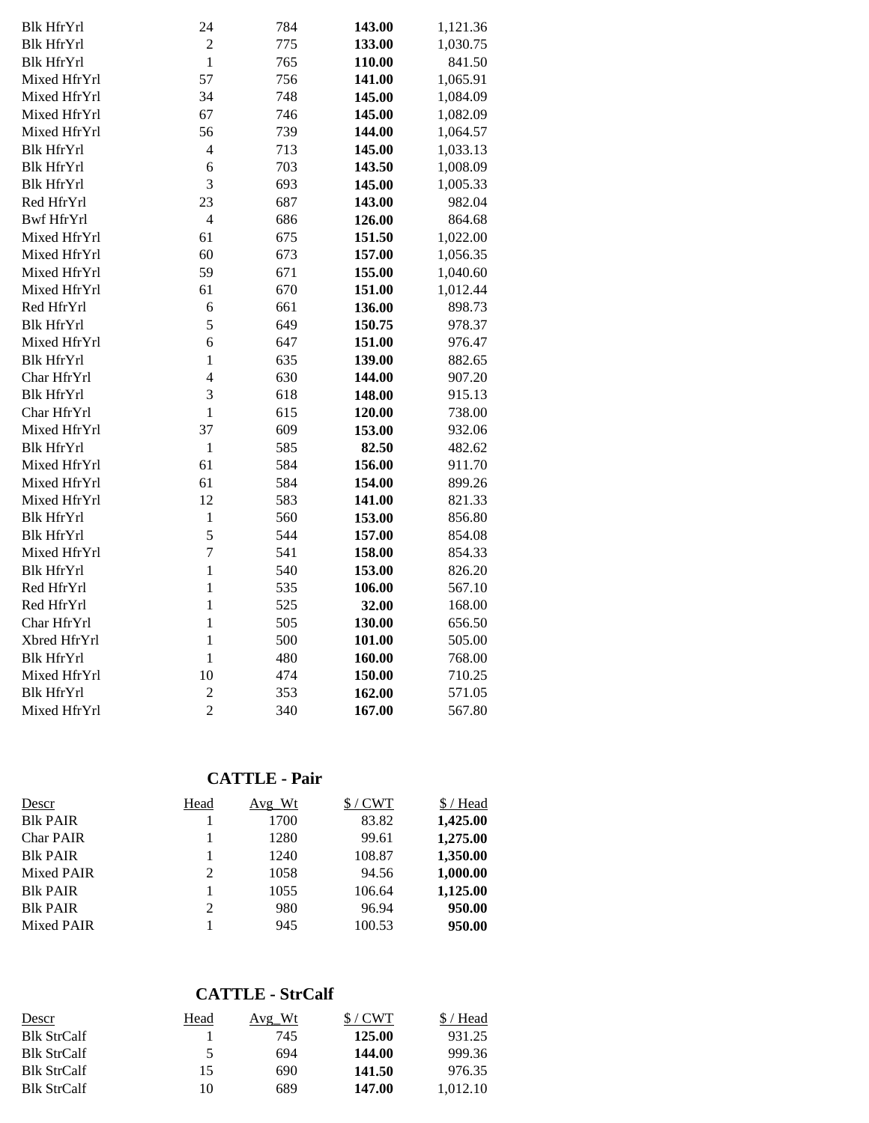| <b>Blk HfrYrl</b> | 24             | 784 | 143.00 | 1,121.36 |
|-------------------|----------------|-----|--------|----------|
| <b>Blk HfrYrl</b> | $\overline{c}$ | 775 | 133.00 | 1,030.75 |
| <b>Blk HfrYrl</b> | $\overline{1}$ | 765 | 110.00 | 841.50   |
| Mixed HfrYrl      | 57             | 756 | 141.00 | 1,065.91 |
| Mixed HfrYrl      | 34             | 748 | 145.00 | 1,084.09 |
| Mixed HfrYrl      | 67             | 746 | 145.00 | 1,082.09 |
| Mixed HfrYrl      | 56             | 739 | 144.00 | 1,064.57 |
| <b>Blk HfrYrl</b> | $\overline{4}$ | 713 | 145.00 | 1,033.13 |
| <b>Blk HfrYrl</b> | 6              | 703 | 143.50 | 1,008.09 |
| <b>Blk HfrYrl</b> | 3              | 693 | 145.00 | 1,005.33 |
| Red HfrYrl        | 23             | 687 | 143.00 | 982.04   |
| <b>Bwf HfrYrl</b> | $\overline{4}$ | 686 | 126.00 | 864.68   |
| Mixed HfrYrl      | 61             | 675 | 151.50 | 1,022.00 |
| Mixed HfrYrl      | 60             | 673 | 157.00 | 1,056.35 |
| Mixed HfrYrl      | 59             | 671 | 155.00 | 1,040.60 |
| Mixed HfrYrl      | 61             | 670 | 151.00 | 1,012.44 |
| Red HfrYrl        | 6              | 661 | 136.00 | 898.73   |
| <b>Blk HfrYrl</b> | 5              | 649 | 150.75 | 978.37   |
| Mixed HfrYrl      | 6              | 647 | 151.00 | 976.47   |
| <b>Blk HfrYrl</b> | $\mathbf{1}$   | 635 | 139.00 | 882.65   |
| Char HfrYrl       | $\overline{4}$ | 630 | 144.00 | 907.20   |
| <b>Blk HfrYrl</b> | 3              | 618 | 148.00 | 915.13   |
| Char HfrYrl       | $\mathbf{1}$   | 615 | 120.00 | 738.00   |
| Mixed HfrYrl      | 37             | 609 | 153.00 | 932.06   |
| <b>Blk HfrYrl</b> | $\mathbbm{1}$  | 585 | 82.50  | 482.62   |
| Mixed HfrYrl      | 61             | 584 | 156.00 | 911.70   |
| Mixed HfrYrl      | 61             | 584 | 154.00 | 899.26   |
| Mixed HfrYrl      | 12             | 583 | 141.00 | 821.33   |
| <b>Blk HfrYrl</b> | $\mathbf{1}$   | 560 | 153.00 | 856.80   |
| <b>Blk HfrYrl</b> | 5              | 544 | 157.00 | 854.08   |
| Mixed HfrYrl      | $\overline{7}$ | 541 | 158.00 | 854.33   |
| <b>Blk HfrYrl</b> | $\mathbf{1}$   | 540 | 153.00 | 826.20   |
| Red HfrYrl        | $\mathbf{1}$   | 535 | 106.00 | 567.10   |
| Red HfrYrl        | $\mathbf{1}$   | 525 | 32.00  | 168.00   |
| Char HfrYrl       | $\mathbf{1}$   | 505 | 130.00 | 656.50   |
| Xbred HfrYrl      | $\mathbf{1}$   | 500 | 101.00 | 505.00   |
| <b>Blk HfrYrl</b> | $\mathbf{1}$   | 480 | 160.00 | 768.00   |
| Mixed HfrYrl      | 10             | 474 | 150.00 | 710.25   |
| <b>Blk HfrYrl</b> | $\overline{c}$ | 353 | 162.00 | 571.05   |
| Mixed HfrYrl      | $\overline{2}$ | 340 | 167.00 | 567.80   |

## **CATTLE - Pair**

| Descr             | Head | Avg Wt | $$/$ CWT | \$ / Head |
|-------------------|------|--------|----------|-----------|
| <b>Blk PAIR</b>   |      | 1700   | 83.82    | 1,425.00  |
| <b>Char PAIR</b>  |      | 1280   | 99.61    | 1,275.00  |
| <b>Blk PAIR</b>   |      | 1240   | 108.87   | 1,350.00  |
| Mixed PAIR        | 2    | 1058   | 94.56    | 1,000.00  |
| <b>Blk PAIR</b>   |      | 1055   | 106.64   | 1,125.00  |
| <b>Blk PAIR</b>   | 2    | 980    | 96.94    | 950.00    |
| <b>Mixed PAIR</b> |      | 945    | 100.53   | 950.00    |

## **CATTLE - StrCalf**

| Descr              | Head | Avg Wt | $$/$ CWT | ' Head   |
|--------------------|------|--------|----------|----------|
| Blk StrCalf        |      | 745    | 125.00   | 931.25   |
| Blk StrCalf        | ↖    | 694    | 144.00   | 999.36   |
| <b>Blk StrCalf</b> | 15   | 690    | 141.50   | 976.35   |
| <b>Blk StrCalf</b> | 10   | 689    | 147.00   | 1.012.10 |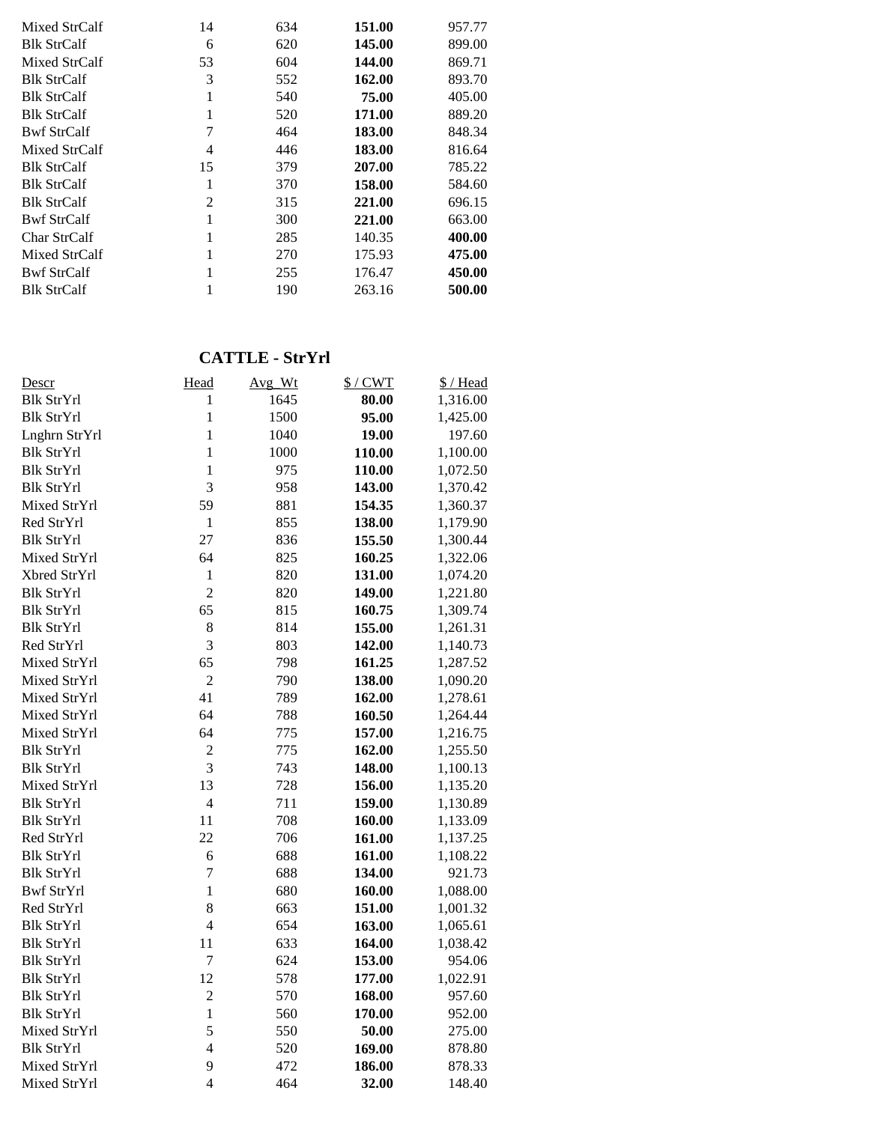| Mixed StrCalf      | 14 | 634 | 151.00 | 957.77 |
|--------------------|----|-----|--------|--------|
| <b>Blk StrCalf</b> | 6  | 620 | 145.00 | 899.00 |
| Mixed StrCalf      | 53 | 604 | 144.00 | 869.71 |
| <b>Blk StrCalf</b> | 3  | 552 | 162.00 | 893.70 |
| <b>Blk StrCalf</b> | 1  | 540 | 75.00  | 405.00 |
| <b>Blk StrCalf</b> | 1  | 520 | 171.00 | 889.20 |
| <b>Bwf StrCalf</b> | 7  | 464 | 183.00 | 848.34 |
| Mixed StrCalf      | 4  | 446 | 183.00 | 816.64 |
| <b>Blk StrCalf</b> | 15 | 379 | 207.00 | 785.22 |
| <b>Blk StrCalf</b> | 1  | 370 | 158.00 | 584.60 |
| <b>Blk StrCalf</b> | 2  | 315 | 221.00 | 696.15 |
| <b>Bwf StrCalf</b> | 1  | 300 | 221.00 | 663.00 |
| Char StrCalf       |    | 285 | 140.35 | 400.00 |
| Mixed StrCalf      |    | 270 | 175.93 | 475.00 |
| <b>Bwf StrCalf</b> |    | 255 | 176.47 | 450.00 |
| <b>Blk StrCalf</b> |    | 190 | 263.16 | 500.00 |

#### **CATTLE - StrYrl**

| Descr             | Head           | Avg_Wt | $$/$ CWT | \$/Head  |
|-------------------|----------------|--------|----------|----------|
| <b>Blk StrYrl</b> | 1              | 1645   | 80.00    | 1,316.00 |
| <b>Blk StrYrl</b> | $\mathbf{1}$   | 1500   | 95.00    | 1,425.00 |
| Lnghrn StrYrl     | $\mathbf{1}$   | 1040   | 19.00    | 197.60   |
| <b>Blk StrYrl</b> | $\mathbf{1}$   | 1000   | 110.00   | 1,100.00 |
| <b>Blk StrYrl</b> | $\mathbf{1}$   | 975    | 110.00   | 1,072.50 |
| <b>Blk StrYrl</b> | $\overline{3}$ | 958    | 143.00   | 1,370.42 |
| Mixed StrYrl      | 59             | 881    | 154.35   | 1,360.37 |
| Red StrYrl        | $\mathbf{1}$   | 855    | 138.00   | 1,179.90 |
| <b>Blk StrYrl</b> | 27             | 836    | 155.50   | 1,300.44 |
| Mixed StrYrl      | 64             | 825    | 160.25   | 1,322.06 |
| Xbred StrYrl      | $\mathbf{1}$   | 820    | 131.00   | 1,074.20 |
| <b>Blk StrYrl</b> | $\overline{2}$ | 820    | 149.00   | 1,221.80 |
| <b>Blk StrYrl</b> | 65             | 815    | 160.75   | 1,309.74 |
| <b>Blk StrYrl</b> | 8              | 814    | 155.00   | 1,261.31 |
| Red StrYrl        | 3              | 803    | 142.00   | 1,140.73 |
| Mixed StrYrl      | 65             | 798    | 161.25   | 1,287.52 |
| Mixed StrYrl      | $\overline{2}$ | 790    | 138.00   | 1,090.20 |
| Mixed StrYrl      | 41             | 789    | 162.00   | 1,278.61 |
| Mixed StrYrl      | 64             | 788    | 160.50   | 1,264.44 |
| Mixed StrYrl      | 64             | 775    | 157.00   | 1,216.75 |
| <b>Blk StrYrl</b> | $\overline{c}$ | 775    | 162.00   | 1,255.50 |
| <b>Blk StrYrl</b> | 3              | 743    | 148.00   | 1,100.13 |
| Mixed StrYrl      | 13             | 728    | 156.00   | 1,135.20 |
| <b>Blk StrYrl</b> | $\overline{4}$ | 711    | 159.00   | 1,130.89 |
| <b>Blk StrYrl</b> | 11             | 708    | 160.00   | 1,133.09 |
| Red StrYrl        | 22             | 706    | 161.00   | 1,137.25 |
| <b>Blk StrYrl</b> | 6              | 688    | 161.00   | 1,108.22 |
| <b>Blk StrYrl</b> | $\overline{7}$ | 688    | 134.00   | 921.73   |
| <b>Bwf StrYrl</b> | $\mathbf{1}$   | 680    | 160.00   | 1,088.00 |
| Red StrYrl        | 8              | 663    | 151.00   | 1,001.32 |
| <b>Blk StrYrl</b> | $\overline{4}$ | 654    | 163.00   | 1,065.61 |
| <b>Blk StrYrl</b> | 11             | 633    | 164.00   | 1,038.42 |
| <b>Blk StrYrl</b> | $\overline{7}$ | 624    | 153.00   | 954.06   |
| <b>Blk StrYrl</b> | 12             | 578    | 177.00   | 1,022.91 |
| <b>Blk StrYrl</b> | $\overline{c}$ | 570    | 168.00   | 957.60   |
| <b>Blk StrYrl</b> | $\mathbf{1}$   | 560    | 170.00   | 952.00   |
| Mixed StrYrl      | 5              | 550    | 50.00    | 275.00   |
| <b>Blk StrYrl</b> | $\overline{4}$ | 520    | 169.00   | 878.80   |
| Mixed StrYrl      | 9              | 472    | 186.00   | 878.33   |
| Mixed StrYrl      | $\overline{4}$ | 464    | 32.00    | 148.40   |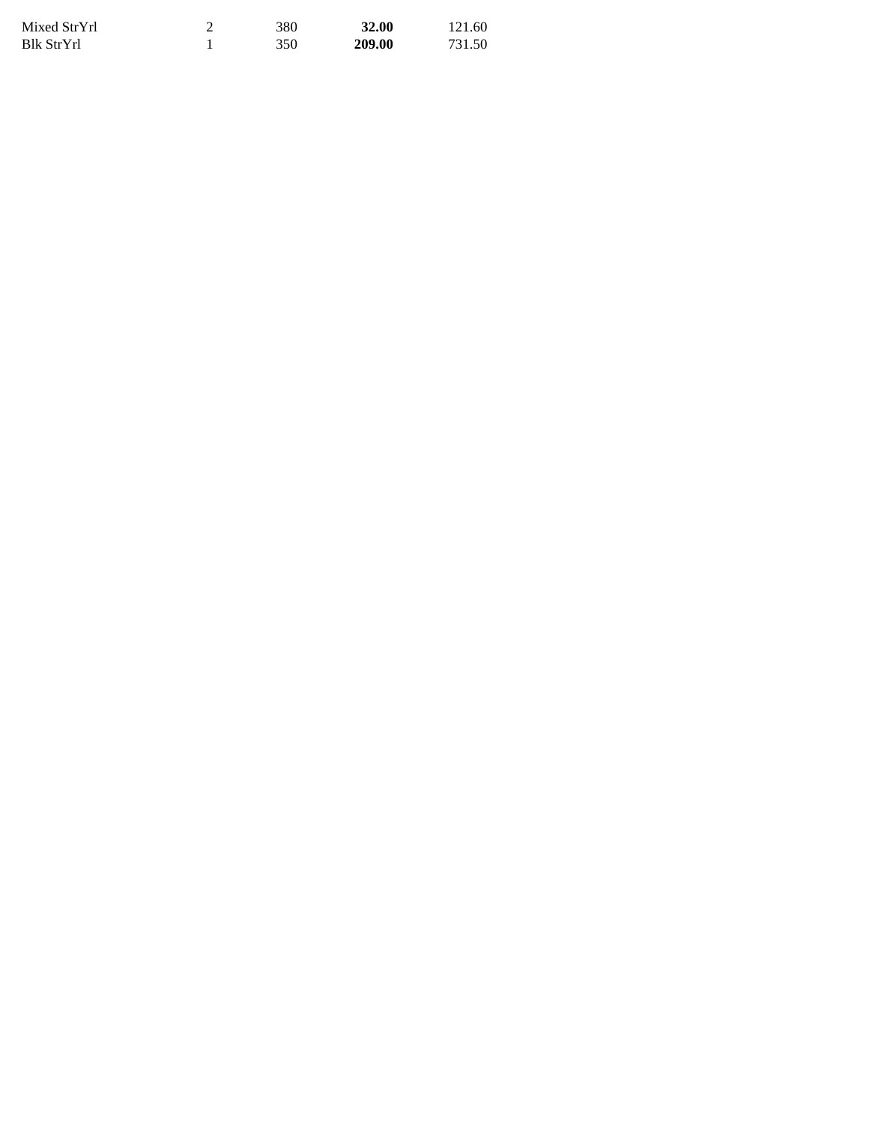| Mixed StrYrl | 380 | 32.00  | 121.60 |
|--------------|-----|--------|--------|
| Blk StrYrl   | 350 | 209.00 | 731.50 |